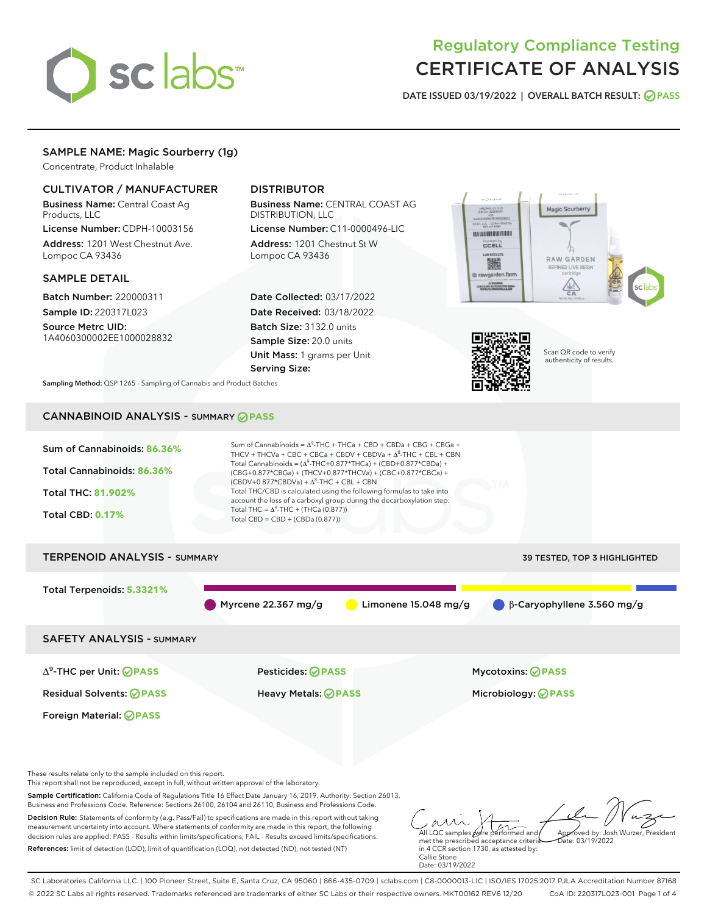

# Regulatory Compliance Testing CERTIFICATE OF ANALYSIS

DATE ISSUED 03/19/2022 | OVERALL BATCH RESULT: @ PASS

# SAMPLE NAME: Magic Sourberry (1g)

Concentrate, Product Inhalable

# CULTIVATOR / MANUFACTURER

Business Name: Central Coast Ag Products, LLC

License Number: CDPH-10003156 Address: 1201 West Chestnut Ave. Lompoc CA 93436

### SAMPLE DETAIL

Batch Number: 220000311 Sample ID: 220317L023

Source Metrc UID: 1A4060300002EE1000028832

# DISTRIBUTOR

Business Name: CENTRAL COAST AG DISTRIBUTION, LLC

License Number: C11-0000496-LIC Address: 1201 Chestnut St W Lompoc CA 93436

Date Collected: 03/17/2022 Date Received: 03/18/2022 Batch Size: 3132.0 units Sample Size: 20.0 units Unit Mass: 1 grams per Unit Serving Size:





Scan QR code to verify authenticity of results.

Sampling Method: QSP 1265 - Sampling of Cannabis and Product Batches

# CANNABINOID ANALYSIS - SUMMARY **PASS**



SC Laboratories California LLC. | 100 Pioneer Street, Suite E, Santa Cruz, CA 95060 | 866-435-0709 | sclabs.com | C8-0000013-LIC | ISO/IES 17025:2017 PJLA Accreditation Number 87168 © 2022 SC Labs all rights reserved. Trademarks referenced are trademarks of either SC Labs or their respective owners. MKT00162 REV6 12/20 CoA ID: 220317L023-001 Page 1 of 4

Callie Stone Date: 03/19/2022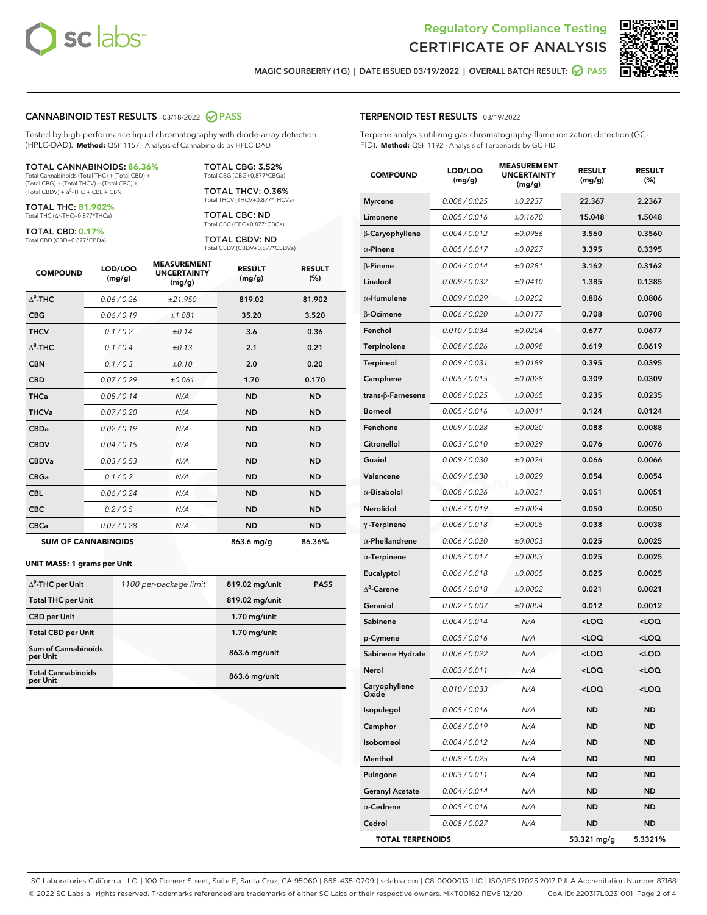



RESULT (%)

MAGIC SOURBERRY (1G) | DATE ISSUED 03/19/2022 | OVERALL BATCH RESULT: 2 PASS

#### CANNABINOID TEST RESULTS - 03/18/2022 PASS

Tested by high-performance liquid chromatography with diode-array detection (HPLC-DAD). **Method:** QSP 1157 - Analysis of Cannabinoids by HPLC-DAD

#### TOTAL CANNABINOIDS: **86.36%**

Total Cannabinoids (Total THC) + (Total CBD) + (Total CBG) + (Total THCV) + (Total CBC) +  $(Total CBDV) +  $\Delta^8$ -THC + CBL + CBN$ 

TOTAL THC: **81.902%** Total THC (Δ<sup>9</sup>-THC+0.877\*THCa)

TOTAL CBD: **0.17%**

Total CBD (CBD+0.877\*CBDa)

TOTAL CBG: 3.52% Total CBG (CBG+0.877\*CBGa)

TOTAL THCV: 0.36% Total THCV (THCV+0.877\*THCVa)

TOTAL CBC: ND Total CBC (CBC+0.877\*CBCa)

TOTAL CBDV: ND Total CBDV (CBDV+0.877\*CBDVa)

| <b>COMPOUND</b>  | LOD/LOQ<br>(mg/g)          | <b>MEASUREMENT</b><br><b>UNCERTAINTY</b><br>(mg/g) | <b>RESULT</b><br>(mg/g) | <b>RESULT</b><br>(%) |
|------------------|----------------------------|----------------------------------------------------|-------------------------|----------------------|
| $\Lambda^9$ -THC | 0.06/0.26                  | ±21.950                                            | 819.02                  | 81.902               |
| <b>CBG</b>       | 0.06/0.19                  | ±1.081                                             | 35.20                   | 3.520                |
| <b>THCV</b>      | 0.1/0.2                    | ±0.14                                              | 3.6                     | 0.36                 |
| $\Delta^8$ -THC  | 0.1/0.4                    | ±0.13                                              | 2.1                     | 0.21                 |
| <b>CBN</b>       | 0.1/0.3                    | ±0.10                                              | 2.0                     | 0.20                 |
| <b>CBD</b>       | 0.07/0.29                  | ±0.061                                             | 1.70                    | 0.170                |
| <b>THCa</b>      | 0.05/0.14                  | N/A                                                | <b>ND</b>               | <b>ND</b>            |
| <b>THCVa</b>     | 0.07 / 0.20                | N/A                                                | <b>ND</b>               | <b>ND</b>            |
| <b>CBDa</b>      | 0.02/0.19                  | N/A                                                | <b>ND</b>               | <b>ND</b>            |
| <b>CBDV</b>      | 0.04 / 0.15                | N/A                                                | <b>ND</b>               | <b>ND</b>            |
| <b>CBDVa</b>     | 0.03/0.53                  | N/A                                                | <b>ND</b>               | <b>ND</b>            |
| <b>CBGa</b>      | 0.1/0.2                    | N/A                                                | <b>ND</b>               | <b>ND</b>            |
| <b>CBL</b>       | 0.06 / 0.24                | N/A                                                | <b>ND</b>               | <b>ND</b>            |
| <b>CBC</b>       | 0.2 / 0.5                  | N/A                                                | <b>ND</b>               | <b>ND</b>            |
| <b>CBCa</b>      | 0.07/0.28                  | N/A                                                | <b>ND</b>               | <b>ND</b>            |
|                  | <b>SUM OF CANNABINOIDS</b> |                                                    | 863.6 mg/g              | 86.36%               |

#### **UNIT MASS: 1 grams per Unit**

| $\Delta^9$ -THC per Unit              | 1100 per-package limit | 819.02 mg/unit | <b>PASS</b> |
|---------------------------------------|------------------------|----------------|-------------|
| <b>Total THC per Unit</b>             |                        | 819.02 mg/unit |             |
| <b>CBD</b> per Unit                   |                        | $1.70$ mg/unit |             |
| <b>Total CBD per Unit</b>             |                        | $1.70$ mg/unit |             |
| Sum of Cannabinoids<br>per Unit       |                        | 863.6 mg/unit  |             |
| <b>Total Cannabinoids</b><br>per Unit |                        | 863.6 mg/unit  |             |

|               | <b>COMPOUND</b>        | LOD/LOQ<br>(mg/g) | <b>MEASUREMENT</b><br><b>UNCERTAINTY</b><br>(mq/q) | <b>RESULT</b><br>(mg/g) | <b>RESULT</b><br>(% ) |
|---------------|------------------------|-------------------|----------------------------------------------------|-------------------------|-----------------------|
|               | <b>Myrcene</b>         | 0.008 / 0.025     | ±0.2237                                            | 22.367                  | 2.2367                |
|               | Limonene               | 0.005 / 0.016     | ±0.1670                                            | 15.048                  | 1.5048                |
|               | <b>B-Caryophyllene</b> | 0.004 / 0.012     | ±0.0986                                            | 3.560                   | 0.3560                |
|               | $\alpha$ -Pinene       | 0.005 / 0.017     | ±0.0227                                            | 3.395                   | 0.3395                |
| <b>RESULT</b> | <b>B-Pinene</b>        | 0.004 / 0.014     | ±0.0281                                            | 3.162                   | 0.3162                |
| (%)           | Linalool               | 0.009 / 0.032     | ±0.0410                                            | 1.385                   | 0.1385                |
| 81.902        | $\alpha$ -Humulene     | 0.009/0.029       | ±0.0202                                            | 0.806                   | 0.0806                |
| 3.520         | <b>B-Ocimene</b>       | 0.006 / 0.020     | ±0.0177                                            | 0.708                   | 0.0708                |
| 0.36          | Fenchol                | 0.010 / 0.034     | ±0.0204                                            | 0.677                   | 0.0677                |
| 0.21          | Terpinolene            | 0.008 / 0.026     | ±0.0098                                            | 0.619                   | 0.0619                |
| 0.20          | <b>Terpineol</b>       | 0.009 / 0.031     | ±0.0189                                            | 0.395                   | 0.0395                |
| 0.170         | Camphene               | 0.005 / 0.015     | ±0.0028                                            | 0.309                   | 0.0309                |
| <b>ND</b>     | trans-ß-Farnesene      | 0.008 / 0.025     | ±0.0065                                            | 0.235                   | 0.0235                |
| <b>ND</b>     | <b>Borneol</b>         | 0.005 / 0.016     | ±0.0041                                            | 0.124                   | 0.0124                |
| <b>ND</b>     | Fenchone               | 0.009 / 0.028     | ±0.0020                                            | 0.088                   | 0.0088                |
| <b>ND</b>     | Citronellol            | 0.003 / 0.010     | ±0.0029                                            | 0.076                   | 0.0076                |
| <b>ND</b>     | Guaiol                 | 0.009 / 0.030     | ±0.0024                                            | 0.066                   | 0.0066                |
| <b>ND</b>     | Valencene              | 0.009 / 0.030     | ±0.0029                                            | 0.054                   | 0.0054                |
| <b>ND</b>     | $\alpha$ -Bisabolol    | 0.008 / 0.026     | ±0.0021                                            | 0.051                   | 0.0051                |
| <b>ND</b>     | <b>Nerolidol</b>       | 0.006 / 0.019     | ±0.0024                                            | 0.050                   | 0.0050                |
| <b>ND</b>     | $\gamma$ -Terpinene    | 0.006 / 0.018     | ±0.0005                                            | 0.038                   | 0.0038                |
| 86.36%        | $\alpha$ -Phellandrene | 0.006 / 0.020     | ±0.0003                                            | 0.025                   | 0.0025                |
|               | $\alpha$ -Terpinene    | 0.005 / 0.017     | ±0.0003                                            | 0.025                   | 0.0025                |
|               |                        |                   |                                                    |                         |                       |

SC Laboratories California LLC. | 100 Pioneer Street, Suite E, Santa Cruz, CA 95060 | 866-435-0709 | sclabs.com | C8-0000013-LIC | ISO/IES 17025:2017 PJLA Accreditation Number 87168 © 2022 SC Labs all rights reserved. Trademarks referenced are trademarks of either SC Labs or their respective owners. MKT00162 REV6 12/20 CoA ID: 220317L023-001 Page 2 of 4

∆ 3

# TERPENOID TEST RESULTS - 03/19/2022

Terpene analysis utilizing gas chromatography-flame ionization detection (GC-FID). **Method:** QSP 1192 - Analysis of Terpenoids by GC-FID

Eucalyptol 0.006 / 0.018  $\pm 0.0005$  0.025 0.0025

Geraniol  $0.002 / 0.007$   $\pm 0.0004$  0.012 0.0012 Sabinene 0.004 / 0.014 N/A <LOQ <LOQ p-Cymene 0.005 / 0.016 N/A <LOQ <LOQ Sabinene Hydrate  $0.006 / 0.022$   $N/A$  <LOQ <LOQ Nerol 0.003 / 0.011 N/A <LOQ <LOQ Caryophyllene Oxide 0.010 / 0.033 N/A <LOQ <LOQ Isopulegol 0.005 / 0.016 N/A ND ND Camphor 0.006 / 0.019 N/A ND ND Isoborneol 0.004 / 0.012 N/A ND ND Menthol 0.008 / 0.025 N/A ND ND Pulegone 0.003/0.011 N/A ND ND Geranyl Acetate 0.004 / 0.014 N/A ND ND ND α-**Cedrene** 0.005/0.016 N/A ND ND Cedrol 0.008 / 0.027 N/A ND ND TOTAL TERPENOIDS 53.321 mg/g 5.3321%

 $0.005 / 0.018$   $\pm 0.0002$  0.021 0.0021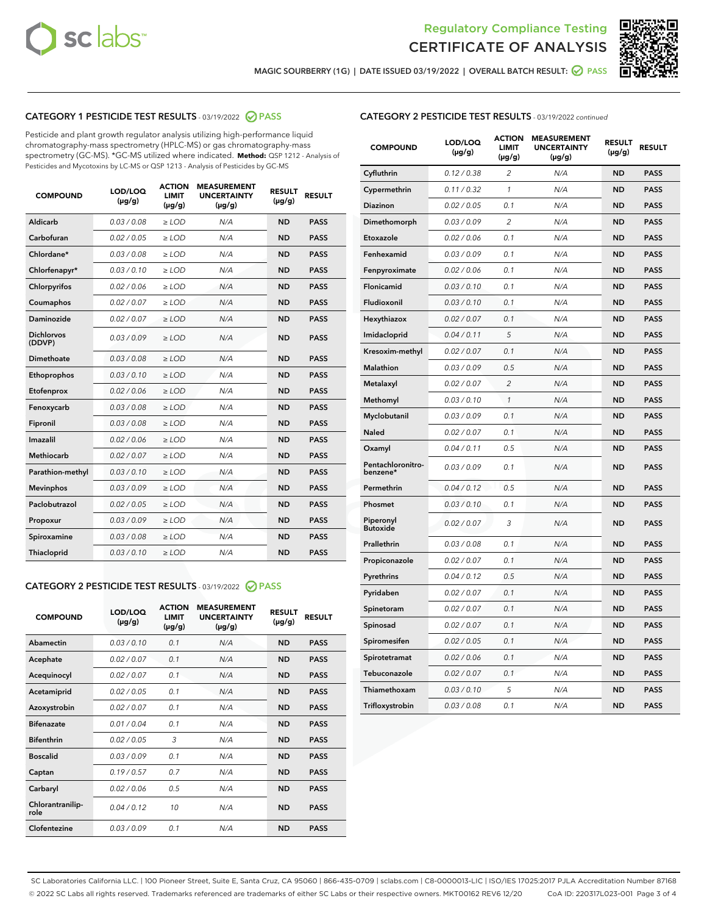



MAGIC SOURBERRY (1G) | DATE ISSUED 03/19/2022 | OVERALL BATCH RESULT:  $\bigcirc$  PASS

# CATEGORY 1 PESTICIDE TEST RESULTS - 03/19/2022 2 PASS

Pesticide and plant growth regulator analysis utilizing high-performance liquid chromatography-mass spectrometry (HPLC-MS) or gas chromatography-mass spectrometry (GC-MS). \*GC-MS utilized where indicated. **Method:** QSP 1212 - Analysis of Pesticides and Mycotoxins by LC-MS or QSP 1213 - Analysis of Pesticides by GC-MS

| 0.03 / 0.08<br>Aldicarb<br>$\ge$ LOD<br>N/A<br><b>ND</b><br><b>PASS</b><br>Carbofuran<br>0.02 / 0.05<br><b>ND</b><br><b>PASS</b><br>$>$ LOD<br>N/A<br>Chlordane*<br>0.03 / 0.08<br>N/A<br><b>ND</b><br><b>PASS</b><br>$\ge$ LOD<br><b>PASS</b><br>Chlorfenapyr*<br>0.03/0.10<br>$>$ LOD<br>N/A<br><b>ND</b><br>0.02 / 0.06<br>$\geq$ LOD<br>N/A<br><b>ND</b><br><b>PASS</b><br>Chlorpyrifos<br>0.02 / 0.07<br>N/A<br><b>ND</b><br>Coumaphos<br>$\ge$ LOD<br><b>PASS</b><br>Daminozide<br>0.02 / 0.07<br>N/A<br><b>ND</b><br><b>PASS</b><br>$\ge$ LOD<br><b>Dichlorvos</b><br>0.03/0.09<br>N/A<br><b>ND</b><br><b>PASS</b><br>$>$ LOD<br>(DDVP)<br><b>Dimethoate</b><br>0.03/0.08<br>$>$ LOD<br>N/A<br><b>ND</b><br><b>PASS</b><br>0.03/0.10<br><b>ND</b><br><b>PASS</b><br>Ethoprophos<br>$\ge$ LOD<br>N/A<br>0.02 / 0.06<br>$\ge$ LOD<br>N/A<br><b>ND</b><br><b>PASS</b><br>Etofenprox<br>0.03/0.08<br>N/A<br><b>ND</b><br><b>PASS</b><br>Fenoxycarb<br>$>$ LOD<br>0.03/0.08<br>N/A<br><b>ND</b><br><b>PASS</b><br>Fipronil<br>$\ge$ LOD<br>Imazalil<br>0.02 / 0.06<br>N/A<br><b>ND</b><br>$\ge$ LOD<br><b>PASS</b><br><b>Methiocarb</b><br>0.02 / 0.07<br>$\ge$ LOD<br>N/A<br><b>ND</b><br><b>PASS</b><br>0.03/0.10<br>N/A<br><b>ND</b><br><b>PASS</b><br>Parathion-methyl<br>$\ge$ LOD<br>0.03/0.09<br>N/A<br><b>ND</b><br><b>Mevinphos</b><br>$\ge$ LOD<br><b>PASS</b><br>Paclobutrazol<br>N/A<br><b>ND</b><br><b>PASS</b><br>0.02 / 0.05<br>$\ge$ LOD<br>0.03/0.09<br><b>ND</b><br><b>PASS</b><br>$>$ LOD<br>N/A<br>Propoxur<br>0.03/0.08<br>$\ge$ LOD<br><b>ND</b><br><b>PASS</b><br>Spiroxamine<br>N/A<br>0.03/0.10<br>Thiacloprid<br>$>$ LOD<br>N/A<br><b>ND</b><br><b>PASS</b> | <b>COMPOUND</b> | LOD/LOQ<br>$(\mu g/g)$ | <b>ACTION</b><br><b>LIMIT</b><br>$(\mu g/g)$ | <b>MEASUREMENT</b><br><b>UNCERTAINTY</b><br>$(\mu g/g)$ | <b>RESULT</b><br>$(\mu g/g)$ | <b>RESULT</b> |
|-----------------------------------------------------------------------------------------------------------------------------------------------------------------------------------------------------------------------------------------------------------------------------------------------------------------------------------------------------------------------------------------------------------------------------------------------------------------------------------------------------------------------------------------------------------------------------------------------------------------------------------------------------------------------------------------------------------------------------------------------------------------------------------------------------------------------------------------------------------------------------------------------------------------------------------------------------------------------------------------------------------------------------------------------------------------------------------------------------------------------------------------------------------------------------------------------------------------------------------------------------------------------------------------------------------------------------------------------------------------------------------------------------------------------------------------------------------------------------------------------------------------------------------------------------------------------------------------------------------------------------------------------------------------------------------------|-----------------|------------------------|----------------------------------------------|---------------------------------------------------------|------------------------------|---------------|
|                                                                                                                                                                                                                                                                                                                                                                                                                                                                                                                                                                                                                                                                                                                                                                                                                                                                                                                                                                                                                                                                                                                                                                                                                                                                                                                                                                                                                                                                                                                                                                                                                                                                                         |                 |                        |                                              |                                                         |                              |               |
|                                                                                                                                                                                                                                                                                                                                                                                                                                                                                                                                                                                                                                                                                                                                                                                                                                                                                                                                                                                                                                                                                                                                                                                                                                                                                                                                                                                                                                                                                                                                                                                                                                                                                         |                 |                        |                                              |                                                         |                              |               |
|                                                                                                                                                                                                                                                                                                                                                                                                                                                                                                                                                                                                                                                                                                                                                                                                                                                                                                                                                                                                                                                                                                                                                                                                                                                                                                                                                                                                                                                                                                                                                                                                                                                                                         |                 |                        |                                              |                                                         |                              |               |
|                                                                                                                                                                                                                                                                                                                                                                                                                                                                                                                                                                                                                                                                                                                                                                                                                                                                                                                                                                                                                                                                                                                                                                                                                                                                                                                                                                                                                                                                                                                                                                                                                                                                                         |                 |                        |                                              |                                                         |                              |               |
|                                                                                                                                                                                                                                                                                                                                                                                                                                                                                                                                                                                                                                                                                                                                                                                                                                                                                                                                                                                                                                                                                                                                                                                                                                                                                                                                                                                                                                                                                                                                                                                                                                                                                         |                 |                        |                                              |                                                         |                              |               |
|                                                                                                                                                                                                                                                                                                                                                                                                                                                                                                                                                                                                                                                                                                                                                                                                                                                                                                                                                                                                                                                                                                                                                                                                                                                                                                                                                                                                                                                                                                                                                                                                                                                                                         |                 |                        |                                              |                                                         |                              |               |
|                                                                                                                                                                                                                                                                                                                                                                                                                                                                                                                                                                                                                                                                                                                                                                                                                                                                                                                                                                                                                                                                                                                                                                                                                                                                                                                                                                                                                                                                                                                                                                                                                                                                                         |                 |                        |                                              |                                                         |                              |               |
|                                                                                                                                                                                                                                                                                                                                                                                                                                                                                                                                                                                                                                                                                                                                                                                                                                                                                                                                                                                                                                                                                                                                                                                                                                                                                                                                                                                                                                                                                                                                                                                                                                                                                         |                 |                        |                                              |                                                         |                              |               |
|                                                                                                                                                                                                                                                                                                                                                                                                                                                                                                                                                                                                                                                                                                                                                                                                                                                                                                                                                                                                                                                                                                                                                                                                                                                                                                                                                                                                                                                                                                                                                                                                                                                                                         |                 |                        |                                              |                                                         |                              |               |
|                                                                                                                                                                                                                                                                                                                                                                                                                                                                                                                                                                                                                                                                                                                                                                                                                                                                                                                                                                                                                                                                                                                                                                                                                                                                                                                                                                                                                                                                                                                                                                                                                                                                                         |                 |                        |                                              |                                                         |                              |               |
|                                                                                                                                                                                                                                                                                                                                                                                                                                                                                                                                                                                                                                                                                                                                                                                                                                                                                                                                                                                                                                                                                                                                                                                                                                                                                                                                                                                                                                                                                                                                                                                                                                                                                         |                 |                        |                                              |                                                         |                              |               |
|                                                                                                                                                                                                                                                                                                                                                                                                                                                                                                                                                                                                                                                                                                                                                                                                                                                                                                                                                                                                                                                                                                                                                                                                                                                                                                                                                                                                                                                                                                                                                                                                                                                                                         |                 |                        |                                              |                                                         |                              |               |
|                                                                                                                                                                                                                                                                                                                                                                                                                                                                                                                                                                                                                                                                                                                                                                                                                                                                                                                                                                                                                                                                                                                                                                                                                                                                                                                                                                                                                                                                                                                                                                                                                                                                                         |                 |                        |                                              |                                                         |                              |               |
|                                                                                                                                                                                                                                                                                                                                                                                                                                                                                                                                                                                                                                                                                                                                                                                                                                                                                                                                                                                                                                                                                                                                                                                                                                                                                                                                                                                                                                                                                                                                                                                                                                                                                         |                 |                        |                                              |                                                         |                              |               |
|                                                                                                                                                                                                                                                                                                                                                                                                                                                                                                                                                                                                                                                                                                                                                                                                                                                                                                                                                                                                                                                                                                                                                                                                                                                                                                                                                                                                                                                                                                                                                                                                                                                                                         |                 |                        |                                              |                                                         |                              |               |
|                                                                                                                                                                                                                                                                                                                                                                                                                                                                                                                                                                                                                                                                                                                                                                                                                                                                                                                                                                                                                                                                                                                                                                                                                                                                                                                                                                                                                                                                                                                                                                                                                                                                                         |                 |                        |                                              |                                                         |                              |               |
|                                                                                                                                                                                                                                                                                                                                                                                                                                                                                                                                                                                                                                                                                                                                                                                                                                                                                                                                                                                                                                                                                                                                                                                                                                                                                                                                                                                                                                                                                                                                                                                                                                                                                         |                 |                        |                                              |                                                         |                              |               |
|                                                                                                                                                                                                                                                                                                                                                                                                                                                                                                                                                                                                                                                                                                                                                                                                                                                                                                                                                                                                                                                                                                                                                                                                                                                                                                                                                                                                                                                                                                                                                                                                                                                                                         |                 |                        |                                              |                                                         |                              |               |
|                                                                                                                                                                                                                                                                                                                                                                                                                                                                                                                                                                                                                                                                                                                                                                                                                                                                                                                                                                                                                                                                                                                                                                                                                                                                                                                                                                                                                                                                                                                                                                                                                                                                                         |                 |                        |                                              |                                                         |                              |               |
|                                                                                                                                                                                                                                                                                                                                                                                                                                                                                                                                                                                                                                                                                                                                                                                                                                                                                                                                                                                                                                                                                                                                                                                                                                                                                                                                                                                                                                                                                                                                                                                                                                                                                         |                 |                        |                                              |                                                         |                              |               |
|                                                                                                                                                                                                                                                                                                                                                                                                                                                                                                                                                                                                                                                                                                                                                                                                                                                                                                                                                                                                                                                                                                                                                                                                                                                                                                                                                                                                                                                                                                                                                                                                                                                                                         |                 |                        |                                              |                                                         |                              |               |

# CATEGORY 2 PESTICIDE TEST RESULTS - 03/19/2022 @ PASS

| <b>COMPOUND</b>          | LOD/LOO<br>$(\mu g/g)$ | <b>ACTION</b><br>LIMIT<br>$(\mu g/g)$ | <b>MEASUREMENT</b><br><b>UNCERTAINTY</b><br>$(\mu g/g)$ | <b>RESULT</b><br>$(\mu g/g)$ | <b>RESULT</b> |
|--------------------------|------------------------|---------------------------------------|---------------------------------------------------------|------------------------------|---------------|
| Abamectin                | 0.03/0.10              | 0.1                                   | N/A                                                     | <b>ND</b>                    | <b>PASS</b>   |
| Acephate                 | 0.02/0.07              | 0.1                                   | N/A                                                     | <b>ND</b>                    | <b>PASS</b>   |
| Acequinocyl              | 0.02/0.07              | 0.1                                   | N/A                                                     | <b>ND</b>                    | <b>PASS</b>   |
| Acetamiprid              | 0.02/0.05              | 0.1                                   | N/A                                                     | <b>ND</b>                    | <b>PASS</b>   |
| Azoxystrobin             | 0.02/0.07              | 0.1                                   | N/A                                                     | <b>ND</b>                    | <b>PASS</b>   |
| <b>Bifenazate</b>        | 0.01/0.04              | 0.1                                   | N/A                                                     | <b>ND</b>                    | <b>PASS</b>   |
| <b>Bifenthrin</b>        | 0.02 / 0.05            | 3                                     | N/A                                                     | <b>ND</b>                    | <b>PASS</b>   |
| <b>Boscalid</b>          | 0.03/0.09              | 0.1                                   | N/A                                                     | <b>ND</b>                    | <b>PASS</b>   |
| Captan                   | 0.19/0.57              | 0.7                                   | N/A                                                     | <b>ND</b>                    | <b>PASS</b>   |
| Carbaryl                 | 0.02/0.06              | 0.5                                   | N/A                                                     | <b>ND</b>                    | <b>PASS</b>   |
| Chlorantranilip-<br>role | 0.04 / 0.12            | 10                                    | N/A                                                     | <b>ND</b>                    | <b>PASS</b>   |
| Clofentezine             | 0.03/0.09              | 0.1                                   | N/A                                                     | <b>ND</b>                    | <b>PASS</b>   |

# CATEGORY 2 PESTICIDE TEST RESULTS - 03/19/2022 continued

| <b>COMPOUND</b>               | LOD/LOQ<br>(µg/g) | <b>ACTION</b><br><b>LIMIT</b><br>(µg/g) | <b>MEASUREMENT</b><br><b>UNCERTAINTY</b><br>(µg/g) | <b>RESULT</b><br>(µg/g) | <b>RESULT</b> |
|-------------------------------|-------------------|-----------------------------------------|----------------------------------------------------|-------------------------|---------------|
| Cyfluthrin                    | 0.12 / 0.38       | 2                                       | N/A                                                | <b>ND</b>               | <b>PASS</b>   |
| Cypermethrin                  | 0.11/0.32         | $\mathbf{1}$                            | N/A                                                | <b>ND</b>               | <b>PASS</b>   |
| Diazinon                      | 0.02 / 0.05       | 0.1                                     | N/A                                                | <b>ND</b>               | <b>PASS</b>   |
| Dimethomorph                  | 0.03 / 0.09       | 2                                       | N/A                                                | <b>ND</b>               | <b>PASS</b>   |
| Etoxazole                     | 0.02 / 0.06       | 0.1                                     | N/A                                                | ND                      | <b>PASS</b>   |
| Fenhexamid                    | 0.03 / 0.09       | 0.1                                     | N/A                                                | <b>ND</b>               | <b>PASS</b>   |
| Fenpyroximate                 | 0.02 / 0.06       | 0.1                                     | N/A                                                | <b>ND</b>               | <b>PASS</b>   |
| Flonicamid                    | 0.03 / 0.10       | 0.1                                     | N/A                                                | <b>ND</b>               | <b>PASS</b>   |
| Fludioxonil                   | 0.03 / 0.10       | 0.1                                     | N/A                                                | ND                      | PASS          |
| Hexythiazox                   | 0.02 / 0.07       | 0.1                                     | N/A                                                | <b>ND</b>               | <b>PASS</b>   |
| Imidacloprid                  | 0.04 / 0.11       | 5                                       | N/A                                                | <b>ND</b>               | <b>PASS</b>   |
| Kresoxim-methyl               | 0.02 / 0.07       | 0.1                                     | N/A                                                | <b>ND</b>               | <b>PASS</b>   |
| <b>Malathion</b>              | 0.03 / 0.09       | 0.5                                     | N/A                                                | <b>ND</b>               | <b>PASS</b>   |
| Metalaxyl                     | 0.02 / 0.07       | 2                                       | N/A                                                | <b>ND</b>               | <b>PASS</b>   |
| Methomyl                      | 0.03 / 0.10       | $\mathbf{1}$                            | N/A                                                | <b>ND</b>               | <b>PASS</b>   |
| Myclobutanil                  | 0.03 / 0.09       | 0.1                                     | N/A                                                | <b>ND</b>               | <b>PASS</b>   |
| Naled                         | 0.02 / 0.07       | 0.1                                     | N/A                                                | <b>ND</b>               | <b>PASS</b>   |
| Oxamyl                        | 0.04 / 0.11       | 0.5                                     | N/A                                                | <b>ND</b>               | <b>PASS</b>   |
| Pentachloronitro-<br>benzene* | 0.03 / 0.09       | 0.1                                     | N/A                                                | <b>ND</b>               | <b>PASS</b>   |
| Permethrin                    | 0.04 / 0.12       | 0.5                                     | N/A                                                | ND                      | <b>PASS</b>   |
| Phosmet                       | 0.03 / 0.10       | 0.1                                     | N/A                                                | <b>ND</b>               | <b>PASS</b>   |
| Piperonyl<br><b>Butoxide</b>  | 0.02 / 0.07       | 3                                       | N/A                                                | <b>ND</b>               | <b>PASS</b>   |
| Prallethrin                   | 0.03 / 0.08       | 0.1                                     | N/A                                                | ND                      | <b>PASS</b>   |
| Propiconazole                 | 0.02 / 0.07       | 0.1                                     | N/A                                                | <b>ND</b>               | <b>PASS</b>   |
| Pyrethrins                    | 0.04 / 0.12       | 0.5                                     | N/A                                                | <b>ND</b>               | <b>PASS</b>   |
| Pyridaben                     | 0.02 / 0.07       | 0.1                                     | N/A                                                | <b>ND</b>               | <b>PASS</b>   |
| Spinetoram                    | 0.02 / 0.07       | 0.1                                     | N/A                                                | ND                      | PASS          |
| Spinosad                      | 0.02 / 0.07       | 0.1                                     | N/A                                                | <b>ND</b>               | <b>PASS</b>   |
| Spiromesifen                  | 0.02 / 0.05       | 0.1                                     | N/A                                                | ND                      | <b>PASS</b>   |
| Spirotetramat                 | 0.02 / 0.06       | 0.1                                     | N/A                                                | ND                      | PASS          |
| Tebuconazole                  | 0.02 / 0.07       | 0.1                                     | N/A                                                | <b>ND</b>               | <b>PASS</b>   |
| Thiamethoxam                  | 0.03 / 0.10       | 5                                       | N/A                                                | ND                      | <b>PASS</b>   |
| Trifloxystrobin               | 0.03 / 0.08       | 0.1                                     | N/A                                                | ND                      | <b>PASS</b>   |

SC Laboratories California LLC. | 100 Pioneer Street, Suite E, Santa Cruz, CA 95060 | 866-435-0709 | sclabs.com | C8-0000013-LIC | ISO/IES 17025:2017 PJLA Accreditation Number 87168 © 2022 SC Labs all rights reserved. Trademarks referenced are trademarks of either SC Labs or their respective owners. MKT00162 REV6 12/20 CoA ID: 220317L023-001 Page 3 of 4